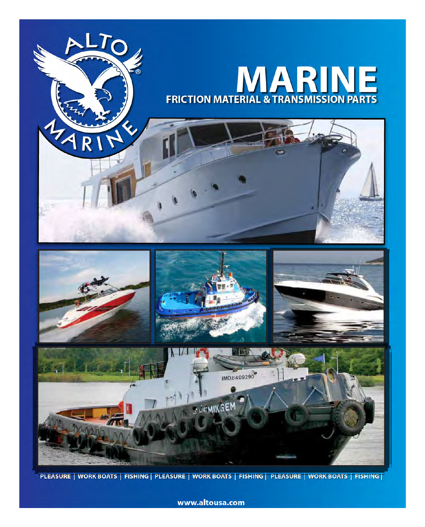

PLEASURE | WORK BOATS | FISHING | PLEASURE | WORK BOATS | FISHING | PLEASURE | WORK BOATS | FISHING |

www.altousa.com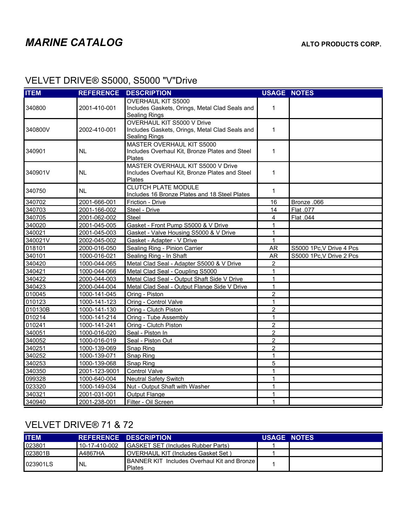## VELVET DRIVE® S5000, S5000 "V"Drive

| <b>ITEM</b> | <b>REFERENCE</b> | <b>DESCRIPTION</b>                                                          | <b>USAGE NOTES</b> |                          |
|-------------|------------------|-----------------------------------------------------------------------------|--------------------|--------------------------|
|             |                  | <b>OVERHAUL KIT S5000</b>                                                   |                    |                          |
| 340800      | 2001-410-001     | Includes Gaskets, Orings, Metal Clad Seals and                              | 1                  |                          |
|             |                  | <b>Sealing Rings</b>                                                        |                    |                          |
|             |                  | OVERHAUL KIT S5000 V Drive                                                  |                    |                          |
| 340800V     | 2002-410-001     | Includes Gaskets, Orings, Metal Clad Seals and                              | $\mathbf{1}$       |                          |
|             |                  | <b>Sealing Rings</b>                                                        |                    |                          |
| 340901      | NL               | MASTER OVERHAUL KIT S5000<br>Includes Overhaul Kit, Bronze Plates and Steel | 1                  |                          |
|             |                  | Plates                                                                      |                    |                          |
|             |                  | MASTER OVERHAUL KIT S5000 V Drive                                           |                    |                          |
| 340901V     | NL               | Includes Overhaul Kit, Bronze Plates and Steel                              | 1                  |                          |
|             |                  | Plates                                                                      |                    |                          |
|             |                  | <b>CLUTCH PLATE MODULE</b>                                                  |                    |                          |
| 340750      | <b>NL</b>        | Includes 16 Bronze Plates and 18 Steel Plates                               | $\mathbf{1}$       |                          |
| 340702      | 2001-666-001     | Friction - Drive                                                            | 16                 | Bronze .066              |
| 340703      | 2001-166-002     | Steel - Drive                                                               | 14                 | Flat .077                |
| 340705      | 2001-062-002     | Steel                                                                       | 4                  | Flat .044                |
| 340020      | 2001-045-005     | Gasket - Front Pump S5000 & V Drive                                         | 1                  |                          |
| 340021      | 2001-045-003     | Gasket - Valve Housing S5000 & V Drive                                      | 1                  |                          |
| 340021V     | 2002-045-002     | Gasket - Adapter - V Drive                                                  | 1                  |                          |
| 018101      | 2000-016-050     | Sealing Ring - Pinion Carrier                                               | <b>AR</b>          | S5000 1Pc, V Drive 4 Pcs |
| 340101      | 1000-016-021     | Sealing Ring - In Shaft                                                     | <b>AR</b>          | S5000 1Pc.V Drive 2 Pcs  |
| 340420      | 1000-044-065     | Metal Clad Seal - Adapter S5000 & V Drive                                   | $\overline{2}$     |                          |
| 340421      | 1000-044-066     | Metal Clad Seal - Coupling S5000                                            | 1                  |                          |
| 340422      | 2000-044-003     | Metal Clad Seal - Output Shaft Side V Drive                                 | 1                  |                          |
| 340423      | 2000-044-004     | Metal Clad Seal - Output Flange Side V Drive                                | $\mathbf{1}$       |                          |
| 010045      | 1000-141-045     | Oring - Piston                                                              | $\overline{2}$     |                          |
| 010123      | 1000-141-123     | Oring - Control Valve                                                       | 1                  |                          |
| 010130B     | 1000-141-130     | Oring - Clutch Piston                                                       | $\overline{c}$     |                          |
| 010214      | 1000-141-214     | Oring - Tube Assembly                                                       | 1                  |                          |
| 010241      | 1000-141-241     | Oring - Clutch Piston                                                       | $\overline{2}$     |                          |
| 340051      | 1000-016-020     | Seal - Piston In                                                            | $\overline{2}$     |                          |
| 340052      | 1000-016-019     | Seal - Piston Out                                                           | $\overline{c}$     |                          |
| 340251      | 1000-139-069     | Snap Ring                                                                   | 2                  |                          |
| 340252      | 1000-139-071     | Snap Ring                                                                   | 1                  |                          |
| 340253      | 1000-139-068     | Snap Ring                                                                   | 5                  |                          |
| 340350      | 2001-123-9001    | Control Valve                                                               | $\mathbf{1}$       |                          |
| 099328      | 1000-640-004     | <b>Neutral Safety Switch</b>                                                | $\mathbf{1}$       |                          |
| 023320      | 1000-149-034     | Nut - Output Shaft with Washer                                              | $\mathbf{1}$       |                          |
| 340321      | 2001-031-001     | Output Flange                                                               | 1                  |                          |
| 340940      | 2001-238-001     | Filter - Oil Screen                                                         | 1                  |                          |

### VELVET DRIVE® 71 & 72

| <b>ITEM</b> |               | REFERENCE DESCRIPTION                                                  | <b>USAGE NOTES</b> |  |
|-------------|---------------|------------------------------------------------------------------------|--------------------|--|
| 023801      | 10-17-410-002 | <b>IGASKET SET (Includes Rubber Parts)</b>                             |                    |  |
| 023801B     | A4867HA       | <b>IOVERHAUL KIT (Includes Gasket Set)</b>                             |                    |  |
| 023901LS    | 'NL           | <b>IBANNER KIT Includes Overhaul Kit and Bronze I</b><br><b>Plates</b> |                    |  |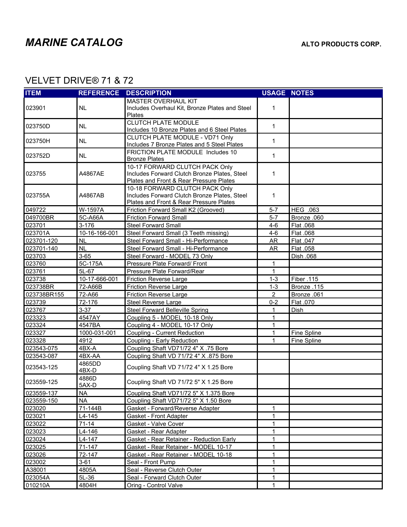$\hat{\mathbf{r}}$ 

### VELVET DRIVE® 71 & 72

| <b>ITEM</b> |                 | <b>REFERENCE DESCRIPTION</b>                                                                                              | <b>USAGE NOTES</b> |             |
|-------------|-----------------|---------------------------------------------------------------------------------------------------------------------------|--------------------|-------------|
| 023901      | <b>NL</b>       | <b>MASTER OVERHAUL KIT</b><br>Includes Overhaul Kit, Bronze Plates and Steel<br>Plates                                    | 1                  |             |
| 023750D     | <b>NL</b>       | <b>CLUTCH PLATE MODULE</b><br>Includes 10 Bronze Plates and 6 Steel Plates                                                | $\mathbf{1}$       |             |
| 023750H     | <b>NL</b>       | CLUTCH PLATE MODULE - VD71 Only<br>Includes 7 Bronze Plates and 5 Steel Plates                                            | $\mathbf{1}$       |             |
| 023752D     | <b>NL</b>       | FRICTION PLATE MODULE Includes 10<br><b>Bronze Plates</b>                                                                 | $\mathbf{1}$       |             |
| 023755      | A4867AE         | 10-17 FORWARD CLUTCH PACK Only<br>Includes Forward Clutch Bronze Plates, Steel<br>Plates and Front & Rear Pressure Plates | 1                  |             |
| 023755A     | A4867AB         | 10-18 FORWARD CLUTCH PACK Only<br>Includes Forward Clutch Bronze Plates, Steel<br>Plates and Front & Rear Pressure Plates | 1                  |             |
| 049722      | W-1597A         | Friction Forward Small K2 (Grooved)                                                                                       | $5 - 7$            | HEG .063    |
| 049700BR    | 5C-A66A         | <b>Friction Forward Small</b>                                                                                             | $5 - 7$            | Bronze .060 |
| 023701      | 3-176           | <b>Steel Forward Small</b>                                                                                                | $4 - 6$            | Flat .068   |
| 023701A     | 10-16-166-001   | Steel Forward Small (3 Teeth missing)                                                                                     | $4 - 6$            | Flat .068   |
| 023701-120  | <b>NL</b>       | Steel Forward Small - Hi-Performance                                                                                      | AR                 | Flat .047   |
| 023701-140  | <b>NL</b>       | Steel Forward Small - Hi-Performance                                                                                      | <b>AR</b>          | Flat .058   |
| 023703      | $3 - 65$        | Steel Forward - MODEL 73 Only                                                                                             |                    | Dish .068   |
| 023760      | 5C-175A         | Pressure Plate Forward/ Front                                                                                             | 1                  |             |
| 023761      | 5L-67           | Pressure Plate Forward/Rear                                                                                               | 1                  |             |
| 023738      | 10-17-666-001   | <b>Friction Reverse Large</b>                                                                                             | $1 - 3$            | Fiber .115  |
| 023738BR    | 72-A66B         | Friction Reverse Large                                                                                                    | $1 - 3$            | Bronze.115  |
| 023738BR155 | 72-A66          | Friction Reverse Large                                                                                                    | $\overline{2}$     | Bronze .061 |
| 023739      | 72-176          | <b>Steel Reverse Large</b>                                                                                                | $0 - 2$            | Flat .070   |
| 023767      | $3 - 37$        | <b>Steel Forward Belleville Spring</b>                                                                                    | 1                  | Dish        |
| 023323      | 4547AY          | Coupling 5 - MODEL 10-18 Only                                                                                             | 1                  |             |
| 023324      | 4547BA          | Coupling 4 - MODEL 10-17 Only                                                                                             | $\mathbf{1}$       |             |
| 023327      | 1000-031-001    | Coupling - Current Reduction                                                                                              | 1                  | Fine Spline |
| 023328      | 4912            | Coupling - Early Reduction                                                                                                | 1                  | Fine Spline |
| 023543-075  | 4BX-A           | Coupling Shaft VD71/72 4" X .75 Bore                                                                                      |                    |             |
| 023543-087  | 4BX-AA          | Coupling Shaft VD 71/72 4" X .875 Bore                                                                                    |                    |             |
| 023543-125  | 4865DD<br>4BX-D | Coupling Shaft VD 71/72 4" X 1.25 Bore                                                                                    |                    |             |
| 023559-125  | 4886D<br>5AX-D  | Coupling Shaft VD 71/72 5" X 1.25 Bore                                                                                    |                    |             |
| 023559-137  | <b>NA</b>       | Coupling Shaft VD71/72 5" X 1.375 Bore                                                                                    |                    |             |
| 023559-150  | <b>NA</b>       | Coupling Shaft VD71/72 5" X 1.50 Bore                                                                                     |                    |             |
| 023020      | 71-144B         | Gasket - Forward/Reverse Adapter                                                                                          | 1                  |             |
| 023021      | L4-145          | Gasket - Front Adapter                                                                                                    | 1                  |             |
| 023022      | 71-14           | Gasket - Valve Cover                                                                                                      | 1                  |             |
| 023023      | L4-146          | Gasket - Rear Adapter                                                                                                     | 1                  |             |
| 023024      | L4-147          | Gasket - Rear Retainer - Reduction Early                                                                                  | 1                  |             |
| 023025      | 71-147          | Gasket - Rear Retainer - MODEL 10-17                                                                                      | 1                  |             |
| 023026      | 72-147          | Gasket - Rear Retainer - MODEL 10-18                                                                                      | 1                  |             |
| 023002      | $3 - 61$        | Seal - Front Pump                                                                                                         | 1                  |             |
| A38001      | 4805A           | Seal - Reverse Clutch Outer                                                                                               | 1                  |             |
| 023054A     | $5L-36$         | Seal - Forward Clutch Outer                                                                                               | 1                  |             |
| 010210A     | 4804H           | Oring - Control Valve                                                                                                     | 1                  |             |
|             |                 |                                                                                                                           |                    |             |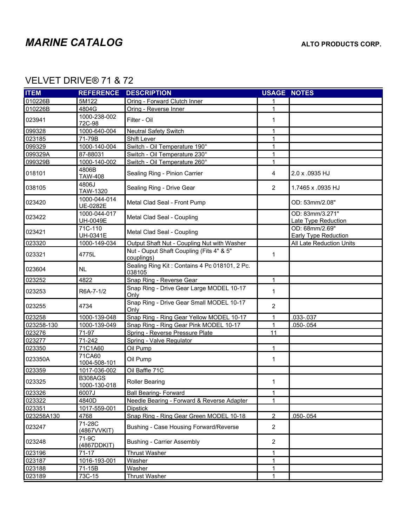$\hat{\mathbf{r}}$ 

### VELVET DRIVE® 71 & 72

| <b>ITEM</b> | <b>REFERENCE</b>               | <b>DESCRIPTION</b>                                      | <b>USAGE NOTES</b> |                                        |
|-------------|--------------------------------|---------------------------------------------------------|--------------------|----------------------------------------|
| 010226B     | 5M122                          | Oring - Forward Clutch Inner                            |                    |                                        |
| 010226B     | 4804G                          | Oring - Reverse Inner                                   | 1                  |                                        |
| 023941      | 1000-238-002<br>72C-98         | Filter - Oil                                            | 1                  |                                        |
| 099328      | 1000-640-004                   | <b>Neutral Safety Switch</b>                            | 1                  |                                        |
| 023185      | 71-79B                         | Shift Lever                                             | 1                  |                                        |
| 099329      | 1000-140-004                   | Switch - Oil Temperature 190°                           | 1                  |                                        |
| 099329A     | 87-88031                       | Switch - Oil Temperature 230°                           | 1                  |                                        |
| 099329B     | 1000-140-002                   | Switch - Oil Temperature 260°                           | $\mathbf{1}$       |                                        |
| 018101      | 4806B<br>TAW-408               | Sealing Ring - Pinion Carrier                           | 4                  | 2.0 x .0935 HJ                         |
| 038105      | 4806J<br>TAW-1320              | Sealing Ring - Drive Gear                               | $\overline{2}$     | 1.7465 x .0935 HJ                      |
| 023420      | 1000-044-014<br>UE-0282E       | Metal Clad Seal - Front Pump                            |                    | OD: 53mm/2.08"                         |
| 023422      | 1000-044-017<br>UH-0049E       | Metal Clad Seal - Coupling                              |                    | OD: 83mm/3.271"<br>Late Type Reduction |
| 023421      | 71C-110<br>UH-0341E            | Metal Clad Seal - Coupling                              |                    | OD: 68mm/2.69"<br>Early Type Reduction |
| 023320      | 1000-149-034                   | Output Shaft Nut - Coupling Nut with Washer             |                    | All Late Reduction Units               |
| 023321      | 4775L                          | Nut - Ouput Shaft Coupling (Fits 4" & 5"<br>couplings)  | $\mathbf{1}$       |                                        |
| 023604      | <b>NL</b>                      | Sealing Ring Kit: Contains 4 Pc 018101, 2 Pc.<br>038105 |                    |                                        |
| 023252      | 4822                           | Snap Ring - Reverse Gear                                | $\mathbf{1}$       |                                        |
| 023253      | R6A-7-1/2                      | Snap Ring - Drive Gear Large MODEL 10-17<br>Only        | $\mathbf{1}$       |                                        |
| 023255      | 4734                           | Snap Ring - Drive Gear Small MODEL 10-17<br>Only        | $\overline{2}$     |                                        |
| 023258      | 1000-139-048                   | Snap Ring - Ring Gear Yellow MODEL 10-17                | 1                  | .033-.037                              |
| 023258-130  | 1000-139-049                   | Snap Ring - Ring Gear Pink MODEL 10-17                  | 1                  | $.050 - .054$                          |
| 023276      | 71-97                          | Spring - Reverse Pressure Plate                         | 11                 |                                        |
| 023277      | 71-242                         | Spring - Valve Regulator                                |                    |                                        |
| 023350      | 71C1A60                        | Oil Pump                                                | 1                  |                                        |
| 023350A     | 71CA60<br>1004-508-101         | Oil Pump                                                | 1                  |                                        |
| 023359      | 1017-036-002                   | Oil Baffle 71C                                          |                    |                                        |
| 023325      | <b>B308AGS</b><br>1000-130-018 | <b>Roller Bearing</b>                                   | 1                  |                                        |
| 023326      | 6007J                          | <b>Ball Bearing- Forward</b>                            | 1                  |                                        |
| 023322      | 4840D                          | Needle Bearing - Forward & Reverse Adapter              | 1                  |                                        |
| 023351      | 1017-559-001                   | <b>Dipstick</b>                                         |                    |                                        |
| 023258A130  | 4768                           | Snap Ring - Ring Gear Green MODEL 10-18                 | $\overline{2}$     | .050-.054                              |
| 023247      | 71-28C<br>(4867VVKIT)          | Bushing - Case Housing Forward/Reverse                  | $\overline{2}$     |                                        |
| 023248      | 71-9C<br>(4867DDKIT)           | <b>Bushing - Carrier Assembly</b>                       | $\overline{2}$     |                                        |
| 023196      | $71 - 17$                      | <b>Thrust Washer</b>                                    | 1                  |                                        |
| 023187      | 1016-193-001                   | Washer                                                  | 1                  |                                        |
| 023188      | 71-15B                         | Washer                                                  | $\mathbf{1}$       |                                        |
| 023189      | 73C-15                         | <b>Thrust Washer</b>                                    | 1                  |                                        |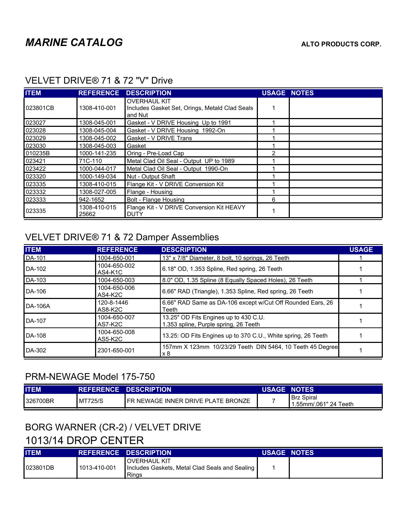| <b>ITEM</b> | <b>REFERENCE</b>      | <b>DESCRIPTION</b>                                                               | <b>USAGE NOTES</b> |  |
|-------------|-----------------------|----------------------------------------------------------------------------------|--------------------|--|
| 023801CB    | 1308-410-001          | <b>OVERHAUL KIT</b><br>Includes Gasket Set, Orings, Metald Clad Seals<br>and Nut |                    |  |
| 023027      | 1308-045-001          | Gasket - V DRIVE Housing Up to 1991                                              |                    |  |
| 023028      | 1308-045-004          | Gasket - V DRIVE Housing 1992-On                                                 |                    |  |
| 023029      | 1308-045-002          | Gasket - V DRIVE Trans                                                           |                    |  |
| 023030      | 1308-045-003          | Gasket                                                                           |                    |  |
| 010235B     | 1000-141-235          | Oring - Pre-Load Cap                                                             | 2                  |  |
| 023421      | 71C-110               | Metal Clad Oil Seal - Output UP to 1989                                          |                    |  |
| 023422      | 1000-044-017          | Metal Clad Oil Seal - Output 1990-On                                             |                    |  |
| 023320      | 1000-149-034          | Nut - Output Shaft                                                               |                    |  |
| 023335      | 1308-410-015          | Flange Kit - V DRIVE Conversion Kit                                              |                    |  |
| 023332      | 1308-027-005          | Flange - Housing                                                                 |                    |  |
| 023333      | 942-1652              | Bolt - Flange Housing                                                            | 6                  |  |
| 023335      | 1308-410-015<br>25662 | Flange Kit - V DRIVE Conversion Kit HEAVY<br><b>DUTY</b>                         |                    |  |

#### VELVET DRIVE® 71 & 72 "V" Drive

### VELVET DRIVE® 71 & 72 Damper Assemblies

| <b>ITEM</b> | <b>REFERENCE</b>        | <b>DESCRIPTION</b>                                                             | <b>USAGE</b> |
|-------------|-------------------------|--------------------------------------------------------------------------------|--------------|
| DA-101      | 1004-650-001            | 13" x 7/8" Diameter, 8 bolt, 10 springs, 26 Teeth                              |              |
| DA-102      | 1004-650-002<br>AS4-K1C | 6.18" OD, 1.353 Spline, Red spring, 26 Teeth                                   |              |
| DA-103      | 1004-650-003            | 8.0" OD, 1.35 Spline (8 Equally Spaced Holes), 26 Teeth                        |              |
| DA-106      | 1004-650-006<br>AS4-K2C | 6.66" RAD (Triangle), 1.353 Spline, Red spring, 26 Teeth                       |              |
| DA-106A     | 120-8-1446<br>AS8-K2C   | 6.66" RAD Same as DA-106 except w/Cut Off Rounded Ears, 26<br>Teeth            |              |
| DA-107      | 1004-650-007<br>AS7-K2C | 13.25" OD Fits Engines up to 430 C.U.<br>1.353 spline, Purple spring, 26 Teeth |              |
| DA-108      | 1004-650-008<br>AS5-K2C | 13.25: OD Fits Engines up to 370 C.U., White spring, 26 Teeth                  |              |
| DA-302      | 2301-650-001            | 157mm X 123mm 10/23/29 Teeth DIN 5464, 10 Teeth 45 Degree<br>x 8               |              |

### PRM-NEWAGE Model 175-750

| <b>ITEM</b> |                | <b>REFERENCE DESCRIPTION</b>               | <b>USAGE NOTES</b> |                                                 |
|-------------|----------------|--------------------------------------------|--------------------|-------------------------------------------------|
| 1326700BR   | <b>MT725/S</b> | <b>IFR NEWAGE INNER DRIVE PLATE BRONZE</b> |                    | <sup>1</sup> Brz Spiral<br>.55mm/.061" 24 Teeth |

# BORG WARNER (CR-2) / VELVET DRIVE

## 1013/14 DROP CENTER

| <b>ITEM</b> |              | REFERENCE DESCRIPTION                                                      | <b>USAGE NOTES</b> |  |
|-------------|--------------|----------------------------------------------------------------------------|--------------------|--|
| 023801DB    | 1013-410-001 | loverhaul kit<br>Includes Gaskets, Metal Clad Seals and Sealing  <br>Rings |                    |  |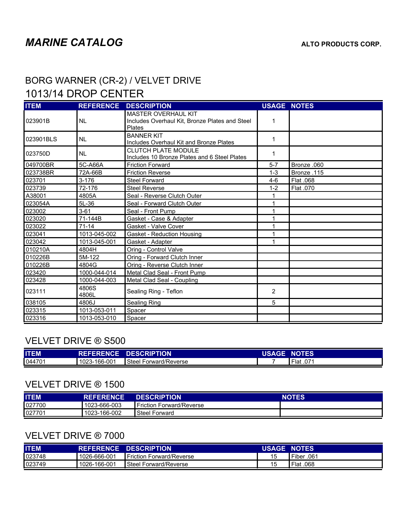### BORG WARNER (CR-2) / VELVET DRIVE 1013/14 DROP CENTER

| <b>ITEM</b> | <b>REFERENCE</b> | <b>DESCRIPTION</b>                                                                     | <b>USAGE NOTES</b> |             |
|-------------|------------------|----------------------------------------------------------------------------------------|--------------------|-------------|
| 023901B     | <b>NL</b>        | <b>MASTER OVERHAUL KIT</b><br>Includes Overhaul Kit, Bronze Plates and Steel<br>Plates | 1                  |             |
| 023901BLS   | <b>NL</b>        | <b>BANNER KIT</b><br>Includes Overhaul Kit and Bronze Plates                           | 1                  |             |
| 023750D     | <b>NL</b>        | <b>CLUTCH PLATE MODULE</b><br>Includes 10 Bronze Plates and 6 Steel Plates             | 1                  |             |
| 049700BR    | 5C-A66A          | <b>Friction Forward</b>                                                                | $5 - 7$            | Bronze .060 |
| 023738BR    | 72A-66B          | <b>Friction Reverse</b>                                                                | $1 - 3$            | Bronze .115 |
| 023701      | $3 - 176$        | <b>Steel Forward</b>                                                                   | $4-6$              | Flat .068   |
| 023739      | 72-176           | <b>Steel Reverse</b>                                                                   | $1 - 2$            | Flat .070   |
| A38001      | 4805A            | Seal - Reverse Clutch Outer                                                            |                    |             |
| 023054A     | 5L-36            | Seal - Forward Clutch Outer                                                            |                    |             |
| 023002      | $3 - 61$         | Seal - Front Pump                                                                      |                    |             |
| 023020      | 71-144B          | Gasket - Case & Adapter                                                                |                    |             |
| 023022      | $71 - 14$        | Gasket - Valve Cover                                                                   | 1                  |             |
| 023041      | 1013-045-002     | Gasket - Reduction Housing                                                             | 1                  |             |
| 023042      | 1013-045-001     | Gasket - Adapter                                                                       | 1                  |             |
| 010210A     | 4804H            | Oring - Control Valve                                                                  |                    |             |
| 010226B     | 5M-122           | Oring - Forward Clutch Inner                                                           |                    |             |
| 010226B     | 4804G            | Oring - Reverse Clutch Inner                                                           |                    |             |
| 023420      | 1000-044-014     | Metal Clad Seal - Front Pump                                                           |                    |             |
| 023428      | 1000-044-003     | Metal Clad Seal - Coupling                                                             |                    |             |
| 023111      | 4806S<br>4806L   | Sealing Ring - Teflon                                                                  | 2                  |             |
| 038105      | 4806J            | <b>Sealing Ring</b>                                                                    | 5                  |             |
| 023315      | 1013-053-011     | Spacer                                                                                 |                    |             |
| 023316      | 1013-053-010     | Spacer                                                                                 |                    |             |

#### VELVET DRIVE ® S500

| <b>ITEM</b> |              | <b>REFERENCE DESCRIPTION</b> | <b>USAGE NOTES</b> |           |
|-------------|--------------|------------------------------|--------------------|-----------|
| 044701      | 1023-166-001 | Steel Forward/Reverse        |                    | Flat .071 |

#### VELVET DRIVE ® 1500

| <b>ITEM</b> | <b>REFERENCE</b> | <b>DESCRIPTION</b>       | <b>NOTES</b> |
|-------------|------------------|--------------------------|--------------|
| 027700      | 1023-666-003     | Friction Forward/Reverse |              |
| 027701      | 1023-166-002     | Forward<br>Steel         |              |

#### VELVET DRIVE ® 7000

| <b>ITEM</b> |              | <b>REFERENCE DESCRIPTION</b>      | <b>USAGE NOTES</b> |            |
|-------------|--------------|-----------------------------------|--------------------|------------|
| 023748      | 1026-666-001 | <b>I</b> Friction Forward/Reverse | 15                 | Fiber .061 |
| 023749      | 1026-166-001 | <b>I</b> Steel Forward/Reverse    | 15                 | Flat .068  |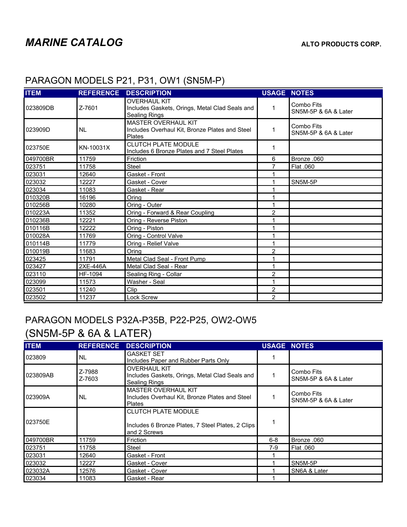| <b>ITEM</b> | <b>REFERENCE</b> | <b>DESCRIPTION</b>                                                                            | <b>USAGE</b>            | <b>NOTES</b>                       |  |
|-------------|------------------|-----------------------------------------------------------------------------------------------|-------------------------|------------------------------------|--|
| 023809DB    | Z-7601           | <b>OVERHAUL KIT</b><br>Includes Gaskets, Orings, Metal Clad Seals and<br><b>Sealing Rings</b> | 1                       | Combo Fits<br>SN5M-5P & 6A & Later |  |
| 023909D     | <b>NL</b>        | <b>MASTER OVERHAUL KIT</b><br>Includes Overhaul Kit, Bronze Plates and Steel<br>Plates        | 1                       | Combo Fits<br>SN5M-5P & 6A & Later |  |
| 023750E     | KN-10031X        | <b>CLUTCH PLATE MODULE</b><br>Includes 6 Bronze Plates and 7 Steel Plates                     | 1                       |                                    |  |
| 049700BR    | 11759            | Friction                                                                                      | 6                       | Bronze .060                        |  |
| 023751      | 11758            | Steel                                                                                         | 7                       | Flat .060                          |  |
| 023031      | 12640            | Gasket - Front                                                                                |                         |                                    |  |
| 023032      | 12227            | Gasket - Cover                                                                                | 1                       | SN5M-5P                            |  |
| 023034      | 11083            | Gasket - Rear                                                                                 |                         |                                    |  |
| 010320B     | 16196            | Oring                                                                                         |                         |                                    |  |
| 010256B     | 10280            | Oring - Outer                                                                                 | 1                       |                                    |  |
| 010223A     | 11352            | Oring - Forward & Rear Coupling                                                               | 2                       |                                    |  |
| 010236B     | 12221            | Oring - Reverse Piston                                                                        | 1                       |                                    |  |
| 010116B     | 12222            | Oring - Piston                                                                                |                         |                                    |  |
| 010028A     | 11769            | Oring - Control Valve                                                                         | 1                       |                                    |  |
| 010114B     | 11779            | Oring - Relief Valve                                                                          | 1                       |                                    |  |
| 010019B     | 11683            | Oring                                                                                         | 2                       |                                    |  |
| 023425      | 11791            | Metal Clad Seal - Front Pump                                                                  | 1                       |                                    |  |
| 023427      | 2XE-446A         | Metal Clad Seal - Rear                                                                        | 1                       |                                    |  |
| 023110      | HF-1094          | Sealing Ring - Collar                                                                         | 2                       |                                    |  |
| 023099      | 11573            | Washer - Seal                                                                                 | 1                       |                                    |  |
| 023501      | 11240            | Clip                                                                                          | $\overline{\mathbf{c}}$ |                                    |  |
| 023502      | 11237            | Lock Screw                                                                                    | $\overline{2}$          |                                    |  |

#### PARAGON MODELS P21, P31, OW1 (SN5M-P)

# PARAGON MODELS P32A-P35B, P22-P25, OW2-OW5

## (SN5M-5P & 6A & LATER)

| <b>ITEM</b> | <b>REFERENCE</b> | <b>DESCRIPTION</b>                                                                              | <b>USAGE NOTES</b> |                                    |
|-------------|------------------|-------------------------------------------------------------------------------------------------|--------------------|------------------------------------|
| 023809      | INL.             | <b>GASKET SET</b><br>Includes Paper and Rubber Parts Only                                       |                    |                                    |
| 023809AB    | Z-7988<br>Z-7603 | <b>OVERHAUL KIT</b><br>Includes Gaskets, Orings, Metal Clad Seals and<br>Sealing Rings          |                    | Combo Fits<br>SN5M-5P & 6A & Later |
| 023909A     | I NL             | <b>MASTER OVERHAUL KIT</b><br>Includes Overhaul Kit, Bronze Plates and Steel<br><b>Plates</b>   |                    | Combo Fits<br>SN5M-5P & 6A & Later |
| 023750E     |                  | <b>CLUTCH PLATE MODULE</b><br>Includes 6 Bronze Plates, 7 Steel Plates, 2 Clips<br>and 2 Screws |                    |                                    |
| 049700BR    | 11759            | Friction                                                                                        | $6 - 8$            | Bronze .060                        |
| 023751      | 11758            | Steel                                                                                           | 7-9                | Flat .060                          |
| 023031      | 12640            | Gasket - Front                                                                                  |                    |                                    |
| 023032      | 12227            | Gasket - Cover                                                                                  |                    | SN5M-5P                            |
| 023032A     | 12576            | Gasket - Cover                                                                                  |                    | SN6A & Later                       |
| 023034      | 11083            | Gasket - Rear                                                                                   |                    |                                    |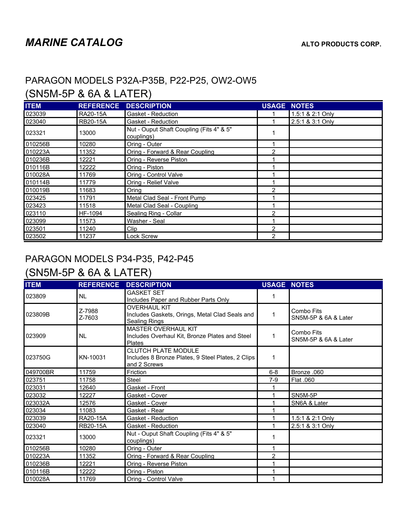### PARAGON MODELS P32A-P35B, P22-P25, OW2-OW5

## (SN5M-5P & 6A & LATER)

| <b>ITEM</b> | <b>REFERENCE</b> | <b>DESCRIPTION</b>                                     | <b>USAGE</b>   | <b>NOTES</b>     |
|-------------|------------------|--------------------------------------------------------|----------------|------------------|
| 023039      | <b>RA20-15A</b>  | Gasket - Reduction                                     |                | 1.5:1 & 2:1 Only |
| 023040      | <b>RB20-15A</b>  | Gasket - Reduction                                     |                | 2.5:1 & 3:1 Only |
| 023321      | 13000            | Nut - Ouput Shaft Coupling (Fits 4" & 5"<br>couplings) |                |                  |
| 010256B     | 10280            | Oring - Outer                                          |                |                  |
| 010223A     | 11352            | Oring - Forward & Rear Coupling                        | 2              |                  |
| 010236B     | 12221            | Oring - Reverse Piston                                 |                |                  |
| 010116B     | 12222            | Oring - Piston                                         |                |                  |
| 010028A     | 11769            | Oring - Control Valve                                  |                |                  |
| 010114B     | 11779            | Oring - Relief Valve                                   |                |                  |
| 010019B     | 11683            | Oring                                                  | 2              |                  |
| 023425      | 11791            | Metal Clad Seal - Front Pump                           |                |                  |
| 023423      | 11518            | Metal Clad Seal - Coupling                             |                |                  |
| 023110      | HF-1094          | Sealing Ring - Collar                                  | 2              |                  |
| 023099      | 11573            | Washer - Seal                                          |                |                  |
| 023501      | 11240            | Clip                                                   | $\overline{2}$ |                  |
| 023502      | 11237            | Lock Screw                                             | 2              |                  |

### PARAGON MODELS P34-P35, P42-P45

## (SN5M-5P & 6A & LATER)

| <b>ITEM</b> | <b>REFERENCE</b> | <b>DESCRIPTION</b>                                                                              | <b>USAGE NOTES</b> |                                    |
|-------------|------------------|-------------------------------------------------------------------------------------------------|--------------------|------------------------------------|
| 023809      | <b>NL</b>        | <b>GASKET SET</b><br>Includes Paper and Rubber Parts Only                                       | 1                  |                                    |
| 023809B     | Z-7988<br>Z-7603 | <b>OVERHAUL KIT</b><br>Includes Gaskets, Orings, Metal Clad Seals and<br><b>Sealing Rings</b>   | 1                  | Combo Fits<br>SN5M-5P & 6A & Later |
| 023909      | <b>NL</b>        | <b>MASTER OVERHAUL KIT</b><br>Includes Overhaul Kit, Bronze Plates and Steel<br>Plates          | 1                  | Combo Fits<br>SN5M-5P & 6A & Later |
| 023750G     | KN-10031         | <b>CLUTCH PLATE MODULE</b><br>Includes 8 Bronze Plates, 9 Steel Plates, 2 Clips<br>and 2 Screws | 1                  |                                    |
| 049700BR    | 11759            | Friction                                                                                        | $6 - 8$            | Bronze .060                        |
| 023751      | 11758            | <b>Steel</b>                                                                                    | $7-9$              | Flat .060                          |
| 023031      | 12640            | Gasket - Front                                                                                  |                    |                                    |
| 023032      | 12227            | Gasket - Cover                                                                                  | 1                  | SN5M-5P                            |
| 023032A     | 12576            | Gasket - Cover                                                                                  |                    | SN6A & Later                       |
| 023034      | 11083            | Gasket - Rear                                                                                   |                    |                                    |
| 023039      | RA20-15A         | Gasket - Reduction                                                                              |                    | 1.5:1 & 2:1 Only                   |
| 023040      | <b>RB20-15A</b>  | Gasket - Reduction                                                                              |                    | 2.5:1 & 3:1 Only                   |
| 023321      | 13000            | Nut - Ouput Shaft Coupling (Fits 4" & 5"<br>couplings)                                          | 1                  |                                    |
| 010256B     | 10280            | Oring - Outer                                                                                   | 1                  |                                    |
| 010223A     | 11352            | Oring - Forward & Rear Coupling                                                                 | 2                  |                                    |
| 010236B     | 12221            | Oring - Reverse Piston                                                                          | 1                  |                                    |
| 010116B     | 12222            | Oring - Piston                                                                                  | 1                  |                                    |
| 010028A     | 11769            | Oring - Control Valve                                                                           |                    |                                    |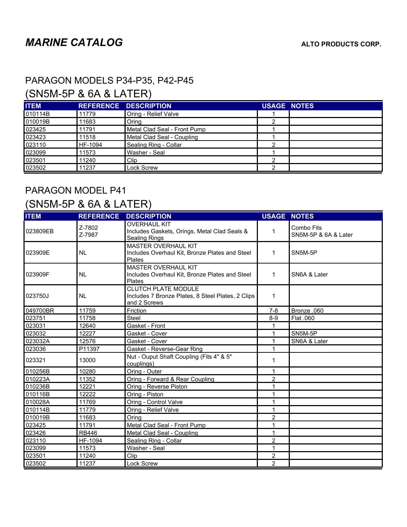### PARAGON MODELS P34-P35, P42-P45

## (SN5M-5P & 6A & LATER)

| <b>ITEM</b> |         | <b>REFERENCE DESCRIPTION</b> | <b>USAGE NOTES</b> |  |
|-------------|---------|------------------------------|--------------------|--|
| 010114B     | 11779   | Oring - Relief Valve         |                    |  |
| 010019B     | 11683   | Oring                        | ◠                  |  |
| 023425      | 11791   | Metal Clad Seal - Front Pump |                    |  |
| 023423      | 11518   | Metal Clad Seal - Coupling   |                    |  |
| 023110      | HF-1094 | Sealing Ring - Collar        | ົ                  |  |
| 023099      | 11573   | Washer - Seal                |                    |  |
| 023501      | 11240   | Clip                         | ◠                  |  |
| 023502      | 11237   | <b>Lock Screw</b>            | ົ                  |  |

## PARAGON MODEL P41 (SN5M-5P & 6A & LATER)

| <b>ITEM</b> | <b>REFERENCE</b> | <b>DESCRIPTION</b>                                                                              | <b>USAGE NOTES</b> |                                    |
|-------------|------------------|-------------------------------------------------------------------------------------------------|--------------------|------------------------------------|
| 023809EB    | Z-7802<br>Z-7987 | <b>OVERHAUL KIT</b><br>Includes Gaskets, Orings, Metal Clad Seals &<br><b>Sealing Rings</b>     | 1                  | Combo Fits<br>SN5M-5P & 6A & Later |
| 023909E     | <b>NL</b>        | <b>MASTER OVERHAUL KIT</b><br>Includes Overhaul Kit, Bronze Plates and Steel<br>Plates          | 1                  | SN5M-5P                            |
| 023909F     | <b>NL</b>        | <b>MASTER OVERHAUL KIT</b><br>Includes Overhaul Kit, Bronze Plates and Steel<br>Plates          | 1                  | SN6A & Later                       |
| 023750J     | <b>NL</b>        | <b>CLUTCH PLATE MODULE</b><br>Includes 7 Bronze Plates, 8 Steel Plates, 2 Clips<br>and 2 Screws | 1                  |                                    |
| 049700BR    | 11759            | Friction                                                                                        | $7 - 8$            | Bronze .060                        |
| 023751      | 11758            | Steel                                                                                           | $8 - 9$            | Flat .060                          |
| 023031      | 12640            | Gasket - Front                                                                                  |                    |                                    |
| 023032      | 12227            | Gasket - Cover                                                                                  | 1                  | SN5M-5P                            |
| 023032A     | 12576            | Gasket - Cover                                                                                  | 1                  | SN6A & Later                       |
| 023036      | P11397           | Gasket - Reverse-Gear Ring                                                                      | 1                  |                                    |
| 023321      | 13000            | Nut - Ouput Shaft Coupling (Fits 4" & 5"<br>couplings)                                          | 1                  |                                    |
| 010256B     | 10280            | Oring - Outer                                                                                   | 1                  |                                    |
| 010223A     | 11352            | Oring - Forward & Rear Coupling                                                                 | $\overline{2}$     |                                    |
| 010236B     | 12221            | Oring - Reverse Piston                                                                          | 1                  |                                    |
| 010116B     | 12222            | Oring - Piston                                                                                  | 1                  |                                    |
| 010028A     | 11769            | Oring - Control Valve                                                                           | 1                  |                                    |
| 010114B     | 11779            | Oring - Relief Valve                                                                            | 1                  |                                    |
| 010019B     | 11683            | Orina                                                                                           | 2                  |                                    |
| 023425      | 11791            | Metal Clad Seal - Front Pump                                                                    | 1                  |                                    |
| 023426      | <b>RB446</b>     | Metal Clad Seal - Coupling                                                                      | 1                  |                                    |
| 023110      | HF-1094          | Sealing Ring - Collar                                                                           | $\overline{2}$     |                                    |
| 023099      | 11573            | Washer - Seal                                                                                   | $\mathbf{1}$       |                                    |
| 023501      | 11240            | Clip                                                                                            | $\overline{2}$     |                                    |
| 023502      | 11237            | Lock Screw                                                                                      | $\overline{2}$     |                                    |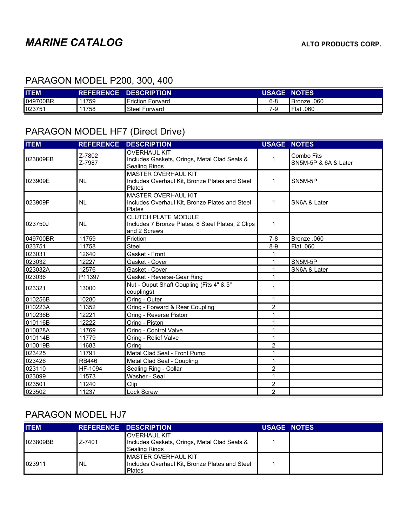### PARAGON MODEL P200, 300, 400

| <b>ITEM</b> |      | <b>REFERENCE DESCRIPTION</b> | <b>USAGE NOTES</b> |             |
|-------------|------|------------------------------|--------------------|-------------|
| 049700BR    | 1759 | <b>Friction Forward</b>      | 6-8                | Bronze .060 |
| 023751      | 1758 | <b>Steel Forward</b>         | 7-9                | 060. Flat   |

### PARAGON MODEL HF7 (Direct Drive)

| <b>ITEM</b> | <b>REFERENCE</b> | <b>DESCRIPTION</b>                                                                              | <b>USAGE NOTES</b> |                                    |
|-------------|------------------|-------------------------------------------------------------------------------------------------|--------------------|------------------------------------|
| 023809EB    | Z-7802<br>Z-7987 | <b>OVERHAUL KIT</b><br>Includes Gaskets, Orings, Metal Clad Seals &<br><b>Sealing Rings</b>     | 1                  | Combo Fits<br>SN5M-5P & 6A & Later |
| 023909E     | <b>NL</b>        | <b>MASTER OVERHAUL KIT</b><br>Includes Overhaul Kit, Bronze Plates and Steel<br>Plates          | 1                  | SN5M-5P                            |
| 023909F     | <b>NL</b>        | <b>MASTER OVERHAUL KIT</b><br>Includes Overhaul Kit, Bronze Plates and Steel<br>Plates          | 1                  | SN6A & Later                       |
| 023750J     | <b>NL</b>        | <b>CLUTCH PLATE MODULE</b><br>Includes 7 Bronze Plates, 8 Steel Plates, 2 Clips<br>and 2 Screws | 1                  |                                    |
| 049700BR    | 11759            | Friction                                                                                        | $7 - 8$            | Bronze .060                        |
| 023751      | 11758            | Steel                                                                                           | $8-9$              | Flat .060                          |
| 023031      | 12640            | Gasket - Front                                                                                  | 1                  |                                    |
| 023032      | 12227            | Gasket - Cover                                                                                  | 1                  | SN5M-5P                            |
| 023032A     | 12576            | Gasket - Cover                                                                                  | 1                  | SN6A & Later                       |
| 023036      | P11397           | Gasket - Reverse-Gear Ring                                                                      | 1                  |                                    |
| 023321      | 13000            | Nut - Ouput Shaft Coupling (Fits 4" & 5"<br>couplings)                                          | 1                  |                                    |
| 010256B     | 10280            | Oring - Outer                                                                                   | 1                  |                                    |
| 010223A     | 11352            | Oring - Forward & Rear Coupling                                                                 | 2                  |                                    |
| 010236B     | 12221            | Oring - Reverse Piston                                                                          | 1                  |                                    |
| 010116B     | 12222            | Oring - Piston                                                                                  | 1                  |                                    |
| 010028A     | 11769            | Oring - Control Valve                                                                           | 1                  |                                    |
| 010114B     | 11779            | Oring - Relief Valve                                                                            | 1                  |                                    |
| 010019B     | 11683            | Oring                                                                                           | $\overline{2}$     |                                    |
| 023425      | 11791            | Metal Clad Seal - Front Pump                                                                    | 1                  |                                    |
| 023426      | <b>RB446</b>     | Metal Clad Seal - Coupling                                                                      | 1                  |                                    |
| 023110      | HF-1094          | Sealing Ring - Collar                                                                           | $\overline{2}$     |                                    |
| 023099      | 11573            | Washer - Seal                                                                                   | 1                  |                                    |
| 023501      | 11240            | Clip                                                                                            | $\overline{c}$     |                                    |
| 023502      | 11237            | <b>Lock Screw</b>                                                                               | $\overline{2}$     |                                    |

#### PARAGON MODEL HJ7

| <b>ITEM</b> |        | <b>REFERENCE DESCRIPTION.</b>                                                                   | <b>USAGE NOTES</b> |  |
|-------------|--------|-------------------------------------------------------------------------------------------------|--------------------|--|
| 023809BB    | Z-7401 | IOVERHAUL KIT<br>Includes Gaskets, Orings, Metal Clad Seals &<br>Sealing Rings                  |                    |  |
| 023911      | 'NL    | <b>I</b> MASTER OVERHAUL KIT<br>Includes Overhaul Kit, Bronze Plates and Steel<br><b>Plates</b> |                    |  |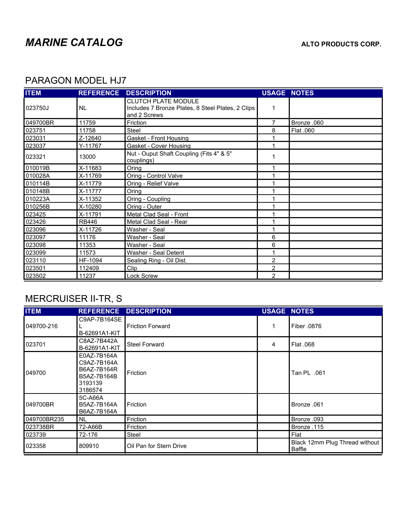### PARAGON MODEL HJ7

| <b>ITEM</b> | <b>REFERENCE</b> | <b>DESCRIPTION</b>                                                                              | <b>USAGE NOTES</b> |             |
|-------------|------------------|-------------------------------------------------------------------------------------------------|--------------------|-------------|
| 023750J     | I NL             | <b>CLUTCH PLATE MODULE</b><br>Includes 7 Bronze Plates, 8 Steel Plates, 2 Clips<br>and 2 Screws | 1                  |             |
| 049700BR    | 11759            | Friction                                                                                        | $\overline{7}$     | Bronze .060 |
| 023751      | 11758            | <b>Steel</b>                                                                                    | 8                  | Flat .060   |
| 023031      | Z-12640          | Gasket - Front Housing                                                                          | 1                  |             |
| 023037      | Y-11767          | Gasket - Cover Housing                                                                          | 1                  |             |
| 023321      | 13000            | Nut - Ouput Shaft Coupling (Fits 4" & 5"<br>couplings)                                          |                    |             |
| 010019B     | X-11683          | Oring                                                                                           | 1                  |             |
| 010028A     | X-11769          | Oring - Control Valve                                                                           | 1                  |             |
| 010114B     | X-11779          | Oring - Relief Valve                                                                            | 1                  |             |
| 010148B     | X-11777          | Oring                                                                                           | 1                  |             |
| 010223A     | X-11352          | Oring - Coupling                                                                                |                    |             |
| 010256B     | X-10280          | Oring - Outer                                                                                   | 1                  |             |
| 023425      | X-11791          | Metal Clad Seal - Front                                                                         | 1                  |             |
| 023426      | <b>RB446</b>     | Metal Clad Seal - Rear                                                                          | 1                  |             |
| 023096      | X-11726          | Washer - Seal                                                                                   |                    |             |
| 023097      | 11176            | Washer - Seal                                                                                   | 6                  |             |
| 023098      | 11353            | Washer - Seal                                                                                   | 6                  |             |
| 023099      | 11573            | Washer - Seal Detent                                                                            | 1                  |             |
| 023110      | HF-1094          | Sealing Ring - Oil Dist.                                                                        | 2                  |             |
| 023501      | 112409           | Clip                                                                                            | 2                  |             |
| 023502      | 11237            | Lock Screw                                                                                      | $\overline{2}$     |             |

## MERCRUISER II-TR, S

| <b>ITEM</b> | <b>REFERENCE</b>                                                               | <b>DESCRIPTION</b>      | <b>USAGE NOTES</b> |                                          |
|-------------|--------------------------------------------------------------------------------|-------------------------|--------------------|------------------------------------------|
| 049700-216  | C9AP-7B164SE<br>B-62691A1-KIT                                                  | Friction Forward        |                    | Fiber .0876                              |
| 023701      | C8AZ-7B442A<br>B-62691A1-KIT                                                   | <b>Steel Forward</b>    | 4                  | Flat .068                                |
| 049700      | E0AZ-7B164A<br>C9AZ-7B164A<br>B6AZ-7B164R<br>B5AZ-7B164B<br>3193139<br>3186574 | Friction                |                    | 061. Tan PL                              |
| 049700BR    | 5C-A66A<br>B5AZ-7B164A<br>B6AZ-7B164A                                          | Friction                |                    | Bronze .061                              |
| 049700BR235 | NL                                                                             | Friction                |                    | Bronze .093                              |
| 023738BR    | 72-A66B                                                                        | Friction                |                    | Bronze .115                              |
| 023739      | 72-176                                                                         | Steel                   |                    | Flat                                     |
| 023358      | 809910                                                                         | Oil Pan for Stern Drive |                    | Black 12mm Plug Thread without<br>Baffle |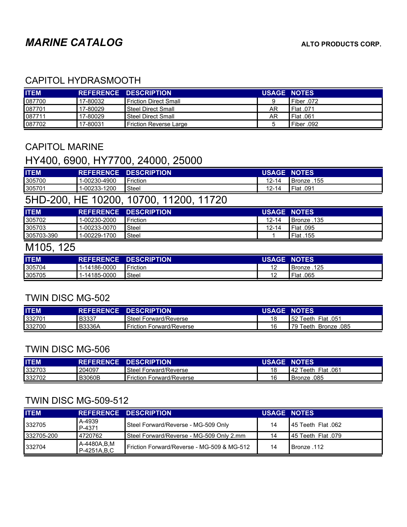#### CAPITOL HYDRASMOOTH

| <b>ITEM</b> |          | REFERENCE DESCRIPTION          | <b>USAGE NOTES</b> |               |
|-------------|----------|--------------------------------|--------------------|---------------|
| 087700      | 17-80032 | <b>I</b> Friction Direct Small |                    | 1 Fiber .072  |
| 087701      | 17-80029 | <b>I</b> Steel Direct Small    | AR                 | I Flat .071   |
| 087711      | 17-80029 | <b>Steel Direct Small</b>      | AR                 | $I$ Flat .061 |
| 087702      | 17-80031 | l Friction Reverse Large       |                    | Piber .092    |

#### CAPITOL MARINE

### HY400, 6900, HY7700, 24000, 25000

| <b>ITEM</b> |              | REFERENCE DESCRIPTION | <b>USAGE NOTES</b> |             |
|-------------|--------------|-----------------------|--------------------|-------------|
| 305700      | 1-00230-4900 | <b>I</b> Friction     | $12 - 14$          | 155. Bronze |
| 305701      | 1-00233-1200 | <b>Steel</b>          | $12 - 14$          | I Flat .091 |

## 5HD-200, HE 10200, 10700, 11200, 11720

| <b>ITEM</b> |              | <b>REFERENCE DESCRIPTION</b> | <b>USAGE NOTES</b> |             |
|-------------|--------------|------------------------------|--------------------|-------------|
| 305702      | 1-00230-2000 | Friction                     | 12-14              | 135. Bronze |
| 305703      | 1-00233-0070 | Steel                        | 12-14              | Plat .095   |
| 305703-390  | 1-00229-1700 | Steel                        |                    | Flat .155   |

## M105, 125

| <b>ITEM</b> | <b>REFERENCE</b> | <b>DESCRIPTION</b> | <b>USAGE NOTES</b> |                |
|-------------|------------------|--------------------|--------------------|----------------|
| 305704      | 1-14186-0000     | <b>I</b> Friction  | 12                 | .125<br>Bronze |
| 305705      | 1-14185-0000     | <sup>'</sup> Steel | $\sim$<br>L        | Flat<br>.065   |

#### TWIN DISC MG-502

| <b>ITEM</b> |        | <b>REFERENCE DESCRIPTION</b>       | <b>USAGE NOTES</b> |                       |
|-------------|--------|------------------------------------|--------------------|-----------------------|
| 332701      | B3337  | <sup>1</sup> Steel Forward/Reverse |                    | 152 Teeth Flat .051   |
| 332700      | B3336A | <b>Friction Forward/Reverse</b>    |                    | 179 Teeth Bronze .085 |

#### TWIN DISC MG-506

| <b>ITEM</b> |               | <b>REFERENCE DESCRIPTION</b>    | <b>USAGE NOTES</b> |                        |
|-------------|---------------|---------------------------------|--------------------|------------------------|
| 332703      | 204097        | Steel Forward/Reverse           |                    | Teeth Flat .061<br>142 |
| 332702      | <b>B3060B</b> | <b>Friction Forward/Reverse</b> | 16                 | 085. Bronze            |

### TWIN DISC MG-509-512

| <b>ITEM</b> |                              | <b>REFERENCE DESCRIPTION</b>               | <b>USAGE NOTES</b> |                                   |
|-------------|------------------------------|--------------------------------------------|--------------------|-----------------------------------|
| 332705      | A-4939<br>P-4371             | Steel Forward/Reverse - MG-509 Only        | 14                 | $\blacksquare$ 45 Teeth Flat .062 |
| 332705-200  | 4720762                      | Steel Forward/Reverse - MG-509 Only 2.mm   | 14                 | 145 Teeth Flat .079               |
| 332704      | A-4480A, B, M<br>P-4251A,B,C | Friction Forward/Reverse - MG-509 & MG-512 | 14                 | 112. Bronze                       |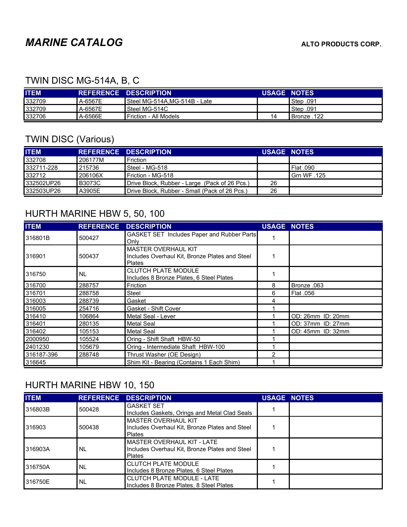### TWIN DISC MG-514A, B, C

| <b>ITEM</b> |         | <b>REFERENCE DESCRIPTION</b> | <b>USAGE NOTES</b> |             |
|-------------|---------|------------------------------|--------------------|-------------|
| 332709      | A-6567E | Steel MG-514A.MG-514B - Late |                    | 091. Step   |
| 332709      | A-6567E | Steel MG-514C                |                    | I Step .091 |
| 332706      | A-6566E | l Friction - All Models      | 14                 | Sronze .122 |

## TWIN DISC (Various)

| <b>ITEM</b> |          | REFERENCE DESCRIPTION                         | <b>USAGE NOTES</b> |               |
|-------------|----------|-----------------------------------------------|--------------------|---------------|
| 332708      | 206177M  | Friction                                      |                    |               |
| 332711-228  | l 215736 | I Steel - MG-518                              |                    | I Flat .090   |
| 332712      | 206106X  | Friction - MG-518                             |                    | l Grn WF .125 |
| 332502UP26  | IB3073C  | Drive Block, Rubber - Large (Pack of 26 Pcs.) | 26                 |               |
| 332503UP26  | A3905E   | Drive Block. Rubber - Small (Pack of 26 Pcs.) | 26                 |               |

### HURTH MARINE HBW 5, 50, 100

| <b>ITEM</b> | <b>REFERENCE</b> | <b>DESCRIPTION</b>                                                                     | <b>USAGE NOTES</b> |                   |
|-------------|------------------|----------------------------------------------------------------------------------------|--------------------|-------------------|
| 316801B     | 500427           | GASKET SET Includes Paper and Rubber Parts<br>Only                                     |                    |                   |
| 316901      | 500437           | <b>MASTER OVERHAUL KIT</b><br>Includes Overhaul Kit, Bronze Plates and Steel<br>Plates |                    |                   |
| 316750      | NL.              | <b>CLUTCH PLATE MODULE</b><br>Includes 8 Bronze Plates, 6 Steel Plates                 |                    |                   |
| 316700      | 288757           | Friction                                                                               | 8                  | Bronze .063       |
| 316701      | 288758           | Steel                                                                                  | 6                  | Flat .056         |
| 316003      | 288739           | Gasket                                                                                 | 4                  |                   |
| 316005      | 254716           | Gasket - Shift Cover                                                                   |                    |                   |
| 316410      | 106864           | Metal Seal - Lever                                                                     |                    | OD: 26mm ID: 20mm |
| 316401      | 280135           | <b>Metal Seal</b>                                                                      |                    | OD: 37mm ID: 27mm |
| 316402      | 105153           | Metal Seal                                                                             |                    | OD: 45mm ID: 32mm |
| 2000950     | 105524           | Oring - Shift Shaft HBW-50                                                             |                    |                   |
| 2401230     | 105679           | Oring - Intermediate Shaft HBW-100                                                     |                    |                   |
| 316187-396  | 288748           | Thrust Washer (OE Design)                                                              | 2                  |                   |
| 316645      |                  | Shim Kit - Bearing (Contains 1 Each Shim)                                              |                    |                   |

### HURTH MARINE HBW 10, 150

| <b>ITEM</b> |        | <b>REFERENCE DESCRIPTION</b>                                                                   | <b>USAGE NOTES</b> |  |
|-------------|--------|------------------------------------------------------------------------------------------------|--------------------|--|
| 316803B     | 500428 | <b>GASKET SET</b><br>Includes Gaskets, Orings and Metal Clad Seals                             |                    |  |
| 316903      | 500438 | <b>MASTER OVERHAUL KIT</b><br>Includes Overhaul Kit, Bronze Plates and Steel<br><b>Plates</b>  |                    |  |
| 316903A     | I NL   | IMASTER OVERHAUL KIT - LATE<br>Includes Overhaul Kit, Bronze Plates and Steel<br><b>Plates</b> |                    |  |
| 316750A     | I NL   | <b>CLUTCH PLATE MODULE</b><br>Includes 8 Bronze Plates, 6 Steel Plates                         |                    |  |
| 316750E     | I NL   | CLUTCH PLATE MODULE - LATE<br>Includes 8 Bronze Plates, 8 Steel Plates                         |                    |  |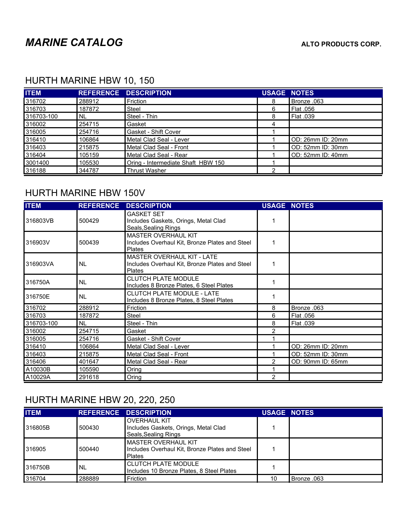### HURTH MARINE HBW 10, 150

| <b>ITEM</b> |        | <b>REFERENCE DESCRIPTION</b>       | <b>USAGE NOTES</b> |                   |
|-------------|--------|------------------------------------|--------------------|-------------------|
| 316702      | 288912 | Friction                           | 8                  | Bronze .063       |
| 316703      | 187872 | Steel                              | 6                  | Flat .056         |
| 316703-100  | NL.    | Steel - Thin                       | 8                  | I Flat .039       |
| 316002      | 254715 | Gasket                             | 4                  |                   |
| 316005      | 254716 | Gasket - Shift Cover               |                    |                   |
| 316410      | 106864 | Metal Clad Seal - Lever            |                    | OD: 26mm ID: 20mm |
| 316403      | 215875 | Metal Clad Seal - Front            |                    | OD: 52mm ID: 30mm |
| 316404      | 105159 | Metal Clad Seal - Rear             |                    | OD: 52mm ID: 40mm |
| 3001400     | 105530 | Oring - Intermediate Shaft HBW 150 |                    |                   |
| 316188      | 344787 | <b>Thrust Washer</b>               | C                  |                   |

#### HURTH MARINE HBW 150V

| <b>ITEM</b> | <b>REFERENCE</b> | <b>DESCRIPTION</b>                                                                            | <b>USAGE NOTES</b> |                   |
|-------------|------------------|-----------------------------------------------------------------------------------------------|--------------------|-------------------|
| 316803VB    | 500429           | <b>GASKET SET</b><br>Includes Gaskets, Orings, Metal Clad<br>Seals, Sealing Rings             |                    |                   |
| 316903V     | 500439           | <b>MASTER OVERHAUL KIT</b><br>Includes Overhaul Kit, Bronze Plates and Steel<br>Plates        |                    |                   |
| 316903VA    | <b>NL</b>        | <b>MASTER OVERHAUL KIT - LATE</b><br>Includes Overhaul Kit, Bronze Plates and Steel<br>Plates | 1                  |                   |
| 316750A     | <b>NL</b>        | <b>CLUTCH PLATE MODULE</b><br>Includes 8 Bronze Plates, 6 Steel Plates                        |                    |                   |
| 316750E     | <b>NL</b>        | <b>CLUTCH PLATE MODULE - LATE</b><br>Includes 8 Bronze Plates, 8 Steel Plates                 | 1                  |                   |
| 316702      | 288912           | Friction                                                                                      | 8                  | Bronze .063       |
| 316703      | 187872           | <b>Steel</b>                                                                                  | 6                  | Flat .056         |
| 316703-100  | <b>NL</b>        | Steel - Thin                                                                                  | 8                  | Flat .039         |
| 316002      | 254715           | Gasket                                                                                        | 2                  |                   |
| 316005      | 254716           | Gasket - Shift Cover                                                                          |                    |                   |
| 316410      | 106864           | Metal Clad Seal - Lever                                                                       |                    | OD: 26mm ID: 20mm |
| 316403      | 215875           | Metal Clad Seal - Front                                                                       |                    | OD: 52mm ID: 30mm |
| 316406      | 401647           | Metal Clad Seal - Rear                                                                        | 2                  | OD: 90mm ID: 65mm |
| A10030B     | 105590           | Oring                                                                                         |                    |                   |
| A10029A     | 291618           | Oring                                                                                         | 2                  |                   |

# HURTH MARINE HBW 20, 220, 250

| <b>ITEM</b> |           | <b>REFERENCE DESCRIPTION</b>                                                        | <b>USAGE NOTES</b> |             |
|-------------|-----------|-------------------------------------------------------------------------------------|--------------------|-------------|
| 316805B     | 500430    | <b>OVERHAUL KIT</b><br>Includes Gaskets, Orings, Metal Clad<br>Seals, Sealing Rings |                    |             |
| 316905      | 500440    | IMASTER OVERHAUL KIT<br>Includes Overhaul Kit, Bronze Plates and Steel<br>Plates    |                    |             |
| 316750B     | <b>NL</b> | <b>CLUTCH PLATE MODULE</b><br>Includes 10 Bronze Plates, 8 Steel Plates             |                    |             |
| 316704      | 288889    | Friction                                                                            | 10                 | 063. Bronze |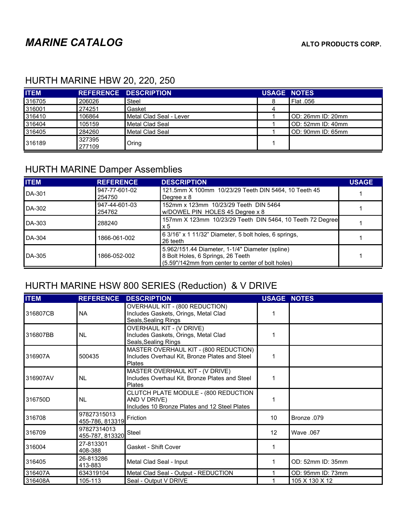### HURTH MARINE HBW 20, 220, 250

| <b>ITEM</b> |                  | <b>REFERENCE DESCRIPTION</b> | <b>USAGE NOTES</b> |                   |
|-------------|------------------|------------------------------|--------------------|-------------------|
| 316705      | 206026           | Steel                        |                    | 1Flat .056        |
| 316001      | 274251           | Gasket                       | 4                  |                   |
| 316410      | 106864           | Metal Clad Seal - Lever      |                    | OD: 26mm ID: 20mm |
| 316404      | 105159           | Metal Clad Seal              |                    | OD: 52mm ID: 40mm |
| 316405      | 284260           | Metal Clad Seal              |                    | OD: 90mm ID: 65mm |
| 316189      | 327395<br>277109 | Oring                        |                    |                   |

## HURTH MARINE Damper Assemblies

| <b>ITEM</b>   | <b>REFERENCE</b>        | <b>DESCRIPTION</b>                                                                                                                        | <b>USAGE</b> |
|---------------|-------------------------|-------------------------------------------------------------------------------------------------------------------------------------------|--------------|
| <b>DA-301</b> | 947-77-601-02<br>254750 | 121.5mm X 100mm 10/23/29 Teeth DIN 5464, 10 Teeth 45<br>Degree x 8                                                                        |              |
| DA-302        | 947-44-601-03<br>254762 | 152mm x 123mm 10/23/29 Teeth DIN 5464<br>w/DOWEL PIN HOLES 45 Degree x 8                                                                  |              |
| DA-303        | 288240                  | 157mm X 123mm 10/23/29 Teeth DIN 5464, 10 Teeth 72 Degree<br>x 5                                                                          |              |
| DA-304        | 1866-061-002            | 6 3/16" x 1 11/32" Diameter, 5 bolt holes, 6 springs,<br>26 teeth                                                                         |              |
| <b>DA-305</b> | 1866-052-002            | 5.962/151.44 Diameter, 1-1/4" Diameter (spline)<br>8 Bolt Holes, 6 Springs, 26 Teeth<br>(5.59"/142mm from center to center of bolt holes) |              |

## HURTH MARINE HSW 800 SERIES (Reduction) & V DRIVE

| <b>ITEM</b> | <b>REFERENCE</b>               | <b>DESCRIPTION</b>                                                                                    | <b>USAGE NOTES</b> |                   |
|-------------|--------------------------------|-------------------------------------------------------------------------------------------------------|--------------------|-------------------|
| 316807CB    | <b>NA</b>                      | OVERHAUL KIT - (800 REDUCTION)<br>Includes Gaskets, Orings, Metal Clad<br>Seals, Sealing Rings        |                    |                   |
| 316807BB    | <b>NL</b>                      | <b>OVERHAUL KIT - (V DRIVE)</b><br>Includes Gaskets, Orings, Metal Clad<br>Seals, Sealing Rings       |                    |                   |
| 316907A     | 500435                         | MASTER OVERHAUL KIT - (800 REDUCTION)<br>Includes Overhaul Kit, Bronze Plates and Steel<br>Plates     | 1                  |                   |
| 316907AV    | <b>NL</b>                      | MASTER OVERHAUL KIT - (V DRIVE)<br>Includes Overhaul Kit, Bronze Plates and Steel<br>Plates           | 1                  |                   |
| 316750D     | <b>NL</b>                      | CLUTCH PLATE MODULE - (800 REDUCTION<br>AND V DRIVE)<br>Includes 10 Bronze Plates and 12 Steel Plates |                    |                   |
| 316708      | 97827315013<br>455-786, 813319 | Friction                                                                                              | 10                 | Bronze .079       |
| 316709      | 97827314013<br>455-787, 813320 | Steel                                                                                                 | 12                 | Wave .067         |
| 316004      | 27-813301<br>408-388           | Gasket - Shift Cover                                                                                  | 1                  |                   |
| 316405      | 26-813286<br>413-883           | Metal Clad Seal - Input                                                                               | 1                  | OD: 52mm ID: 35mm |
| 316407A     | 634319104                      | Metal Clad Seal - Output - REDUCTION                                                                  |                    | OD: 95mm ID: 73mm |
| 316408A     | 105-113                        | Seal - Output V DRIVE                                                                                 |                    | 105 X 130 X 12    |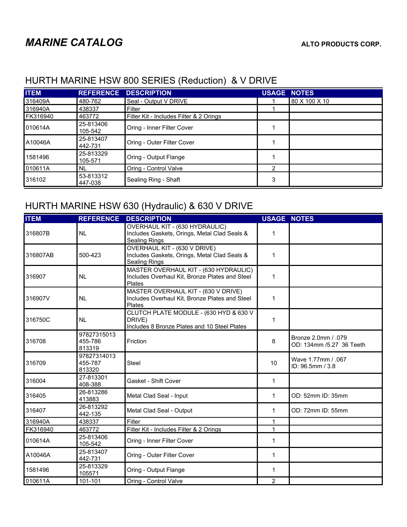| <b>ITEM</b> | <b>REFERENCE</b>     | <b>DESCRIPTION</b>                      | <b>USAGE NOTES</b> |               |
|-------------|----------------------|-----------------------------------------|--------------------|---------------|
| 316409A     | 480-762              | Seal - Output V DRIVE                   |                    | 80 X 100 X 10 |
| 316940A     | 438337               | Filter                                  |                    |               |
| FK316940    | 463772               | Filter Kit - Includes Filter & 2 Orings |                    |               |
| 010614A     | 25-813406<br>105-542 | Oring - Inner Filter Cover              |                    |               |
| A10046A     | 25-813407<br>442-731 | Oring - Outer Filter Cover              |                    |               |
| 1581496     | 25-813329<br>105-571 | Oring - Output Flange                   |                    |               |
| 010611A     | <b>NL</b>            | Oring - Control Valve                   | $\overline{2}$     |               |
| 316102      | 53-813312<br>447-038 | Sealing Ring - Shaft                    | 3                  |               |

#### HURTH MARINE HSW 800 SERIES (Reduction) & V DRIVE

# HURTH MARINE HSW 630 (Hydraulic) & 630 V DRIVE

| <b>ITEM</b> |                                  | <b>REFERENCE DESCRIPTION</b>                                                                                | <b>USAGE NOTES</b> |                                                 |
|-------------|----------------------------------|-------------------------------------------------------------------------------------------------------------|--------------------|-------------------------------------------------|
| 316807B     | <b>NL</b>                        | OVERHAUL KIT - (630 HYDRAULIC)<br>Includes Gaskets, Orings, Metal Clad Seals &<br>Sealing Rings             | 1                  |                                                 |
| 316807AB    | 500-423                          | <b>OVERHAUL KIT - (630 V DRIVE)</b><br>Includes Gaskets, Orings, Metal Clad Seals &<br><b>Sealing Rings</b> | 1                  |                                                 |
| 316907      | <b>NL</b>                        | MASTER OVERHAUL KIT - (630 HYDRAULIC)<br>Includes Overhaul Kit, Bronze Plates and Steel<br>Plates           | 1                  |                                                 |
| 316907V     | <b>NL</b>                        | MASTER OVERHAUL KIT - (630 V DRIVE)<br>Includes Overhaul Kit, Bronze Plates and Steel<br>Plates             | 1                  |                                                 |
| 316750C     | <b>NL</b>                        | CLUTCH PLATE MODULE - (630 HYD & 630 V<br>DRIVE)<br>Includes 8 Bronze Plates and 10 Steel Plates            | 1                  |                                                 |
| 316708      | 97827315013<br>455-786<br>813319 | Friction                                                                                                    | 8                  | Bronze 2.0mm / .079<br>OD: 134mm /5.27 36 Teeth |
| 316709      | 97827314013<br>455-787<br>813320 | Steel                                                                                                       | 10                 | Wave 1.77mm / .067<br>ID: 96.5mm / 3.8          |
| 316004      | 27-813301<br>408-388             | Gasket - Shift Cover                                                                                        | 1                  |                                                 |
| 316405      | 26-813286<br>413883              | Metal Clad Seal - Input                                                                                     | 1                  | OD: 52mm ID: 35mm                               |
| 316407      | 26-813292<br>442-135             | Metal Clad Seal - Output                                                                                    | $\mathbf{1}$       | OD: 72mm ID: 55mm                               |
| 316940A     | 438337                           | Filter                                                                                                      | $\mathbf{1}$       |                                                 |
| FK316940    | 463772                           | Filter Kit - Includes Filter & 2 Orings                                                                     | $\mathbf{1}$       |                                                 |
| 010614A     | 25-813406<br>105-542             | Oring - Inner Filter Cover                                                                                  | 1                  |                                                 |
| A10046A     | 25-813407<br>442-731             | Oring - Outer Filter Cover                                                                                  | 1                  |                                                 |
| 1581496     | 25-813329<br>105571              | Oring - Output Flange                                                                                       | 1                  |                                                 |
| 010611A     | 101-101                          | Oring - Control Valve                                                                                       | $\overline{2}$     |                                                 |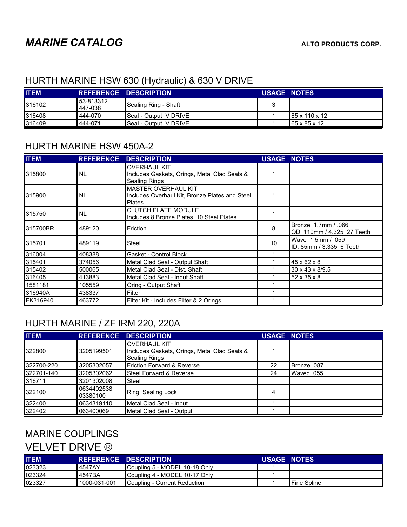### HURTH MARINE HSW 630 (Hydraulic) & 630 V DRIVE

| <b>ITEM</b> |                       | <b>REFERENCE DESCRIPTION.</b> | <b>USAGE NOTES</b> |                            |
|-------------|-----------------------|-------------------------------|--------------------|----------------------------|
| 316102      | 153-813312<br>447-038 | Sealing Ring - Shaft          |                    |                            |
| 316408      | 444-070               | Seal - Output VDRIVE          |                    | $185 \times 110 \times 12$ |
| 316409      | 444-071               | Seal - Output V DRIVE         |                    | $165 \times 85 \times 12$  |

#### HURTH MARINE HSW 450A-2

| <b>ITEM</b> | <b>REFERENCE</b> | <b>DESCRIPTION</b>                                                                          | <b>USAGE NOTES</b> |                                                   |
|-------------|------------------|---------------------------------------------------------------------------------------------|--------------------|---------------------------------------------------|
| 315800      | <b>NL</b>        | <b>OVERHAUL KIT</b><br>Includes Gaskets, Orings, Metal Clad Seals &<br><b>Sealing Rings</b> |                    |                                                   |
| 315900      | <b>NL</b>        | MASTER OVERHAUL KIT<br>Includes Overhaul Kit, Bronze Plates and Steel<br><b>Plates</b>      |                    |                                                   |
| 315750      | NL               | <b>CLUTCH PLATE MODULE</b><br>Includes 8 Bronze Plates, 10 Steel Plates                     |                    |                                                   |
| 315700BR    | 489120           | Friction                                                                                    | 8                  | Bronze 1.7mm / .066<br>OD: 110mm / 4.325 27 Teeth |
| 315701      | 489119           | <b>Steel</b>                                                                                | 10                 | Wave 1.5mm / .059<br>ID: 85mm / 3.335 6 Teeth     |
| 316004      | 408388           | Gasket - Control Block                                                                      |                    |                                                   |
| 315401      | 374056           | Metal Clad Seal - Output Shaft                                                              |                    | $45 \times 62 \times 8$                           |
| 315402      | 500065           | Metal Clad Seal - Dist. Shaft                                                               |                    | 30 x 43 x 8/9.5                                   |
| 316405      | 413883           | Metal Clad Seal - Input Shaft                                                               |                    | $52 \times 35 \times 8$                           |
| 1581181     | 105559           | Oring - Output Shaft                                                                        |                    |                                                   |
| 316940A     | 438337           | Filter                                                                                      |                    |                                                   |
| FK316940    | 463772           | Filter Kit - Includes Filter & 2 Orings                                                     |                    |                                                   |

### HURTH MARINE / ZF IRM 220, 220A

| <b>ITEM</b> |                        | <b>REFERENCE DESCRIPTION</b>                                                         | <b>USAGE NOTES</b> |             |
|-------------|------------------------|--------------------------------------------------------------------------------------|--------------------|-------------|
| 322800      | 3205199501             | <b>OVERHAUL KIT</b><br>Includes Gaskets, Orings, Metal Clad Seals &<br>Sealing Rings |                    |             |
| 322700-220  | 3205302057             | <b>Friction Forward &amp; Reverse</b>                                                | 22                 | Bronze .087 |
| 322701-140  | 3205302062             | Steel Forward & Reverse                                                              | 24                 | Waved 055   |
| 316711      | 3201302008             | Steel                                                                                |                    |             |
| 322100      | 0634402538<br>03380100 | Ring, Sealing Lock                                                                   | 4                  |             |
| 322400      | 0634319110             | Metal Clad Seal - Input                                                              |                    |             |
| 322402      | 063400069              | Metal Clad Seal - Output                                                             |                    |             |

### MARINE COUPLINGS

### VELVET DRIVE ®

| <b>ITEM</b> |              | <b>REFERENCE DESCRIPTION.</b> | <b>USAGE NOTES</b> |             |
|-------------|--------------|-------------------------------|--------------------|-------------|
| 023323      | 4547AY       | Coupling 5 - MODEL 10-18 Only |                    |             |
| 023324      | 4547BA       | Coupling 4 - MODEL 10-17 Only |                    |             |
| 023327      | 1000-031-001 | Coupling - Current Reduction  |                    | Fine Spline |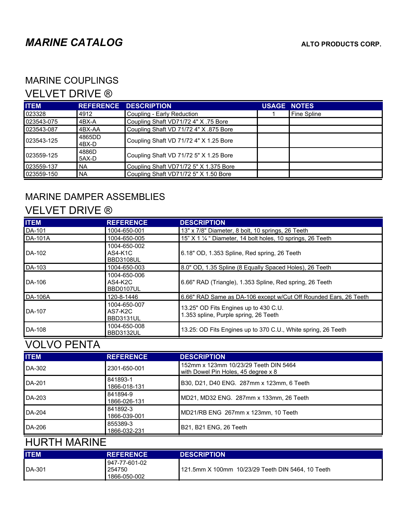### MARINE COUPLINGS

### VELVET DRIVE ®

| <b>ITEM</b> |                 | <b>REFERENCE DESCRIPTION</b>           | <b>USAGE NOTES</b> |             |
|-------------|-----------------|----------------------------------------|--------------------|-------------|
| 023328      | 14912           | Coupling - Early Reduction             |                    | Fine Spline |
| 023543-075  | l4BX-A          | Coupling Shaft VD71/72 4" X .75 Bore   |                    |             |
| 023543-087  | 4BX-AA          | Coupling Shaft VD 71/72 4" X .875 Bore |                    |             |
| 023543-125  | 4865DD<br>4BX-D | Coupling Shaft VD 71/72 4" X 1.25 Bore |                    |             |
| 023559-125  | 4886D<br>5AX-D  | Coupling Shaft VD 71/72 5" X 1.25 Bore |                    |             |
| 023559-137  | I NA            | Coupling Shaft VD71/72 5" X 1.375 Bore |                    |             |
| 023559-150  | I NA            | Coupling Shaft VD71/72 5" X 1.50 Bore  |                    |             |

## MARINE DAMPER ASSEMBLIES

### VELVET DRIVE ®

| <b>ITEM</b>    | <b>REFERENCE</b>                       | <b>DESCRIPTION</b>                                                             |
|----------------|----------------------------------------|--------------------------------------------------------------------------------|
| DA-101         | 1004-650-001                           | 13" x 7/8" Diameter, 8 bolt, 10 springs, 26 Teeth                              |
| <b>DA-101A</b> | 1004-650-005                           | 15" $X$ 1 $\frac{1}{4}$ " Diameter, 14 bolt holes, 10 springs, 26 Teeth        |
| DA-102         | 1004-650-002<br>AS4-K1C<br>BBD3108UL   | 6.18" OD, 1.353 Spline, Red spring, 26 Teeth                                   |
| DA-103         | 1004-650-003                           | 8.0" OD, 1.35 Spline (8 Equally Spaced Holes), 26 Teeth                        |
| DA-106         | 1004-650-006<br>$AS4-K2C$<br>BBD0107UL | 6.66" RAD (Triangle), 1.353 Spline, Red spring, 26 Teeth                       |
| <b>DA-106A</b> | 120-8-1446                             | 6.66" RAD Same as DA-106 except w/Cut Off Rounded Ears, 26 Teeth               |
| DA-107         | 1004-650-007<br>$AS7-K2C$<br>BBD3131UL | 13.25" OD Fits Engines up to 430 C.U.<br>1.353 spline, Purple spring, 26 Teeth |
| DA-108         | 1004-650-008<br>BBD3132UL              | 13.25: OD Fits Engines up to 370 C.U., White spring, 26 Teeth                  |

# VOLVO PENTA

| <b>ITEM</b> | <b>REFERENCE</b>         | <b>DESCRIPTION</b>                                                           |
|-------------|--------------------------|------------------------------------------------------------------------------|
| DA-302      | 2301-650-001             | 152mm x 123mm 10/23/29 Teeth DIN 5464<br>with Dowel Pin Holes, 45 degree x 8 |
| DA-201      | 841893-1<br>1866-018-131 | B30, D21, D40 ENG. 287mm x 123mm, 6 Teeth                                    |
| DA-203      | 841894-9<br>1866-026-131 | MD21, MD32 ENG. 287mm x 133mm, 26 Teeth                                      |
| $DA-204$    | 841892-3<br>1866-039-001 | MD21/RB ENG 267mm x 123mm, 10 Teeth                                          |
| DA-206      | 855389-3<br>1866-032-231 | B21, B21 ENG, 26 Teeth                                                       |

# HURTH MARINE

| <b>ITEM</b>   | <b>REFERENCE</b>                         | <b>DESCRIPTION</b>                                |
|---------------|------------------------------------------|---------------------------------------------------|
| <b>DA-301</b> | 1947-77-601-02<br>254750<br>1866-050-002 | 121.5mm X 100mm 10/23/29 Teeth DIN 5464, 10 Teeth |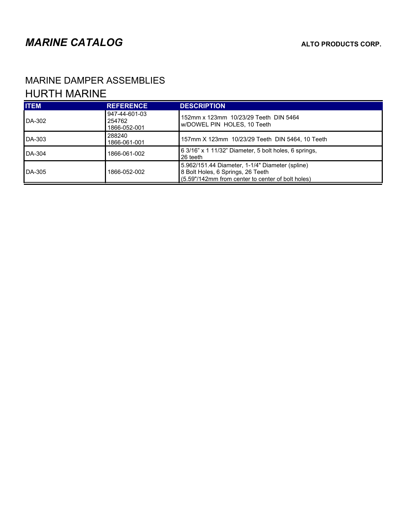$\mathbf{r}$ 

## MARINE DAMPER ASSEMBLIES HURTH MARINE

| <b>ITEM</b>   | <b>REFERENCE</b>                        | <b>DESCRIPTION</b>                                                                                                                        |
|---------------|-----------------------------------------|-------------------------------------------------------------------------------------------------------------------------------------------|
| DA-302        | 947-44-601-03<br>254762<br>1866-052-001 | 152mm x 123mm 10/23/29 Teeth DIN 5464<br>w/DOWEL PIN HOLES, 10 Teeth                                                                      |
| DA-303        | 288240<br>1866-061-001                  | 157mm X 123mm 10/23/29 Teeth DIN 5464, 10 Teeth                                                                                           |
| <b>DA-304</b> | 1866-061-002                            | 6 3/16" x 1 11/32" Diameter, 5 bolt holes, 6 springs,<br>26 teeth                                                                         |
| <b>DA-305</b> | 1866-052-002                            | 5.962/151.44 Diameter, 1-1/4" Diameter (spline)<br>8 Bolt Holes, 6 Springs, 26 Teeth<br>(5.59"/142mm from center to center of bolt holes) |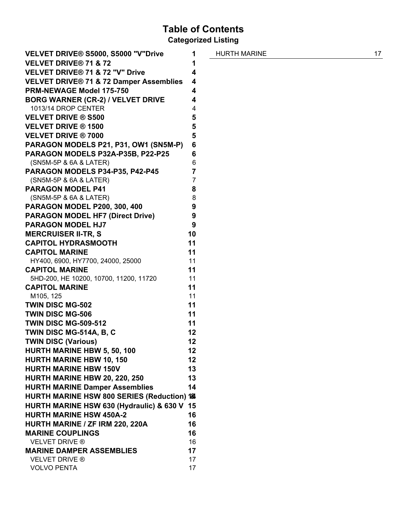## Table of Contents

Categorized Listing

| VELVET DRIVE® S5000, S5000 "V"Drive                | 1              |
|----------------------------------------------------|----------------|
| <b>VELVET DRIVE® 71 &amp; 72</b>                   | 1              |
| VELVET DRIVE® 71 & 72 "V" Drive                    | 4              |
| <b>VELVET DRIVE® 71 &amp; 72 Damper Assemblies</b> | 4              |
| <b>PRM-NEWAGE Model 175-750</b>                    | 4              |
| <b>BORG WARNER (CR-2) / VELVET DRIVE</b>           | 4              |
| 1013/14 DROP CENTER                                | 4              |
| <b>VELVET DRIVE ® S500</b>                         | 5              |
| <b>VELVET DRIVE ® 1500</b>                         | 5              |
| <b>VELVET DRIVE ® 7000</b>                         | 5              |
| PARAGON MODELS P21, P31, OW1 (SN5M-P)              | 6              |
| PARAGON MODELS P32A-P35B, P22-P25                  | 6              |
| (SN5M-5P & 6A & LATER)                             | 6              |
| PARAGON MODELS P34-P35, P42-P45                    | 7              |
| (SN5M-5P & 6A & LATER)                             | $\overline{7}$ |
| <b>PARAGON MODEL P41</b>                           | 8              |
| (SN5M-5P & 6A & LATER)                             | 8              |
| <b>PARAGON MODEL P200, 300, 400</b>                | 9              |
| <b>PARAGON MODEL HF7 (Direct Drive)</b>            | 9              |
| <b>PARAGON MODEL HJ7</b>                           | 9              |
| <b>MERCRUISER II-TR, S</b>                         | 10             |
| <b>CAPITOL HYDRASMOOTH</b>                         | 11             |
| <b>CAPITOL MARINE</b>                              | 11             |
| HY400, 6900, HY7700, 24000, 25000                  | 11             |
| <b>CAPITOL MARINE</b>                              | 11             |
| 5HD-200, HE 10200, 10700, 11200, 11720             | 11             |
| <b>CAPITOL MARINE</b>                              | 11             |
| M105, 125                                          | 11             |
| <b>TWIN DISC MG-502</b>                            | 11             |
| <b>TWIN DISC MG-506</b>                            | 11             |
| <b>TWIN DISC MG-509-512</b>                        | 11             |
| TWIN DISC MG-514A, B, C                            | 12             |
| <b>TWIN DISC (Various)</b>                         | 12             |
| <b>HURTH MARINE HBW 5, 50, 100</b>                 | 12             |
| <b>HURTH MARINE HBW 10, 150</b>                    | 12             |
| <b>HURTH MARINE HBW 150V</b>                       | 13             |
| <b>HURTH MARINE HBW 20, 220, 250</b>               | 13             |
| <b>HURTH MARINE Damper Assemblies</b>              | 14             |
| HURTH MARINE HSW 800 SERIES (Reduction) 18         |                |
| HURTH MARINE HSW 630 (Hydraulic) & 630 V           | 15             |
| <b>HURTH MARINE HSW 450A-2</b>                     | 16             |
| HURTH MARINE / ZF IRM 220, 220A                    | 16             |
| <b>MARINE COUPLINGS</b>                            | 16             |
| <b>VELVET DRIVE ®</b>                              | 16             |
| <b>MARINE DAMPER ASSEMBLIES</b>                    | 17             |
| <b>VELVET DRIVE ®</b><br><b>VOLVO PENTA</b>        | 17<br>17       |
|                                                    |                |

HURTH MARINE 17